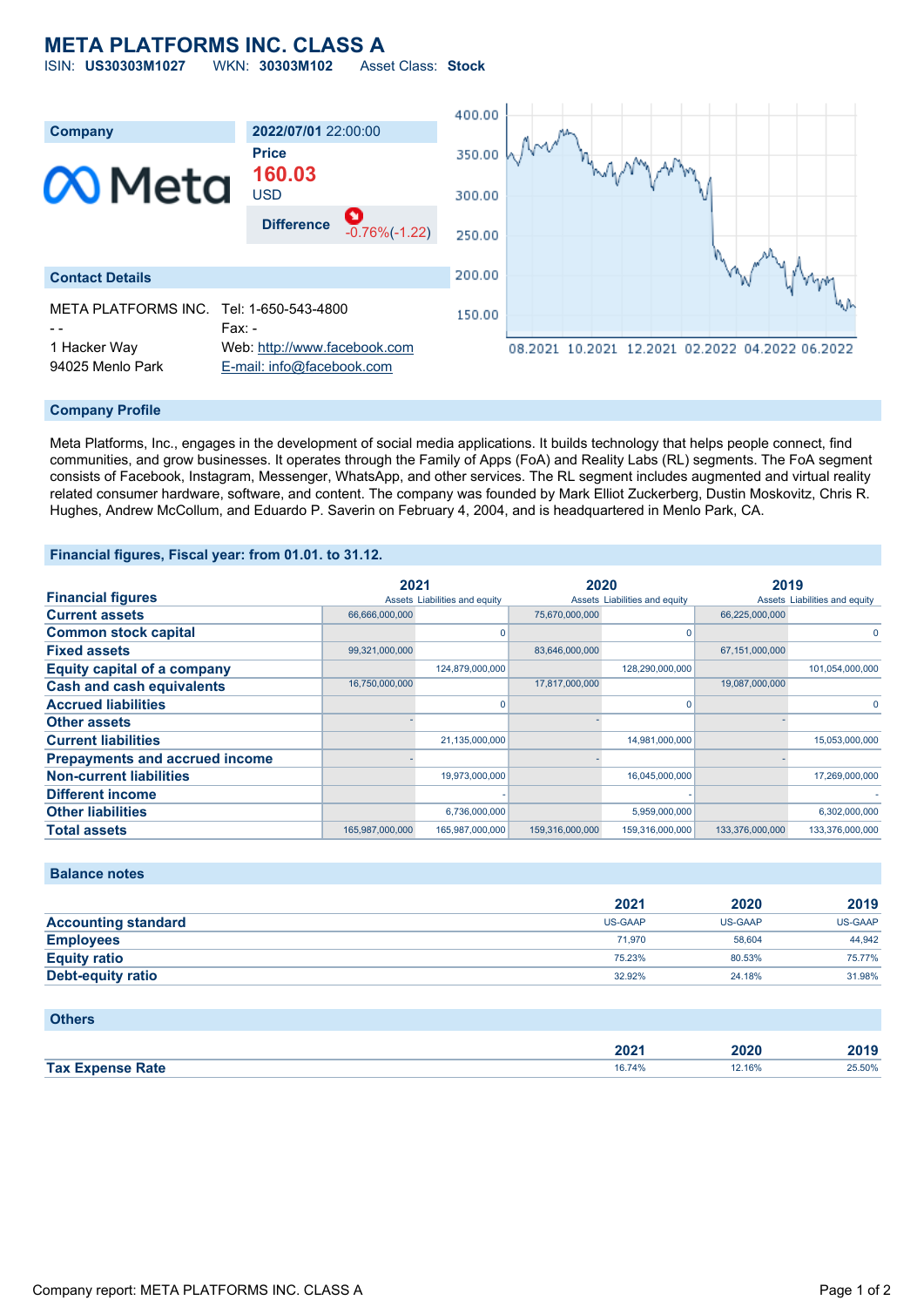# **META PLATFORMS INC. CLASS A**

ISIN: **US30303M1027** WKN: **30303M102** Asset Class: **Stock**



#### **Company Profile**

Meta Platforms, Inc., engages in the development of social media applications. It builds technology that helps people connect, find communities, and grow businesses. It operates through the Family of Apps (FoA) and Reality Labs (RL) segments. The FoA segment consists of Facebook, Instagram, Messenger, WhatsApp, and other services. The RL segment includes augmented and virtual reality related consumer hardware, software, and content. The company was founded by Mark Elliot Zuckerberg, Dustin Moskovitz, Chris R. Hughes, Andrew McCollum, and Eduardo P. Saverin on February 4, 2004, and is headquartered in Menlo Park, CA.

### **Financial figures, Fiscal year: from 01.01. to 31.12.**

|                                       | 2021            |                               | 2020            |                               | 2019            |                               |
|---------------------------------------|-----------------|-------------------------------|-----------------|-------------------------------|-----------------|-------------------------------|
| <b>Financial figures</b>              |                 | Assets Liabilities and equity |                 | Assets Liabilities and equity |                 | Assets Liabilities and equity |
| <b>Current assets</b>                 | 66,666,000,000  |                               | 75,670,000,000  |                               | 66,225,000,000  |                               |
| <b>Common stock capital</b>           |                 |                               |                 |                               |                 | $\Omega$                      |
| <b>Fixed assets</b>                   | 99,321,000,000  |                               | 83,646,000,000  |                               | 67,151,000,000  |                               |
| <b>Equity capital of a company</b>    |                 | 124,879,000,000               |                 | 128,290,000,000               |                 | 101,054,000,000               |
| <b>Cash and cash equivalents</b>      | 16,750,000,000  |                               | 17,817,000,000  |                               | 19,087,000,000  |                               |
| <b>Accrued liabilities</b>            |                 |                               |                 |                               |                 | $\Omega$                      |
| <b>Other assets</b>                   |                 |                               |                 |                               |                 |                               |
| <b>Current liabilities</b>            |                 | 21,135,000,000                |                 | 14,981,000,000                |                 | 15,053,000,000                |
| <b>Prepayments and accrued income</b> |                 |                               |                 |                               |                 |                               |
| <b>Non-current liabilities</b>        |                 | 19,973,000,000                |                 | 16,045,000,000                |                 | 17,269,000,000                |
| <b>Different income</b>               |                 |                               |                 |                               |                 |                               |
| <b>Other liabilities</b>              |                 | 6,736,000,000                 |                 | 5,959,000,000                 |                 | 6,302,000,000                 |
| <b>Total assets</b>                   | 165,987,000,000 | 165,987,000,000               | 159,316,000,000 | 159,316,000,000               | 133.376.000.000 | 133.376.000.000               |

# **Balance notes**

|                            | 2021    | 2020    | 2019           |
|----------------------------|---------|---------|----------------|
| <b>Accounting standard</b> | US-GAAP | US-GAAP | <b>US-GAAP</b> |
| <b>Employees</b>           | 71.970  | 58.604  | 44.942         |
| <b>Equity ratio</b>        | 75.23%  | 80.53%  | 75.77%         |
| <b>Debt-equity ratio</b>   | 32.92%  | 24.18%  | 31.98%         |

#### **Others**

|            | nnn.<br>50Z. | 2020 | 7040   |
|------------|--------------|------|--------|
| <b>Tax</b> | - 70         | 16%  | 25.50% |
| Rate       |              |      |        |